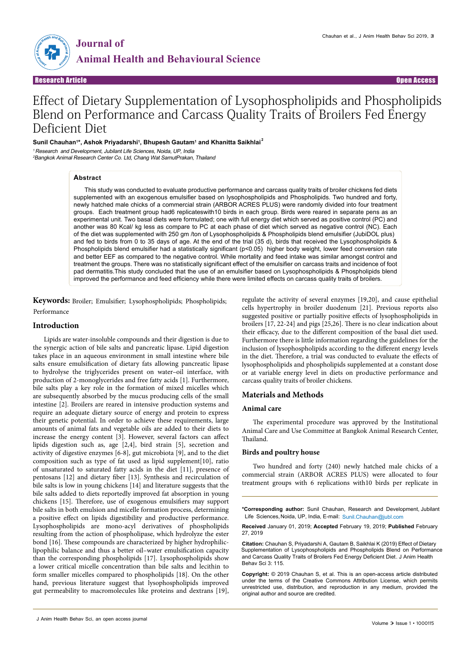

# Effect of Dietary Supplementation of Lysophospholipids and Phospholipids Blend on Performance and Carcass Quality Traits of Broilers Fed Energy Deficient Diet

#### $\mathsf{Sunil}$  Chauhan<sup>1\*</sup>, Ashok Priyadarshi<sup>1</sup>, Bhupesh Gautam<sup>1</sup> and Khanitta Saikhlai $^2$

<sup>1</sup> Research and Development, Jubilant Life Sciences, Noida, UP, India

<sup>2</sup>Bangkok Animal Research Center Co. Ltd, Chang Wat SamutPrakan, Thailand

# **Abstract**

This study was conducted to evaluate productive performance and carcass quality traits of broiler chickens fed diets supplemented with an exogenous emulsifier based on lysophospholipids and Phospholipids. Two hundred and forty, newly hatched male chicks of a commercial strain (ARBOR ACRES PLUS) were randomly divided into four treatment groups. Each treatment group had6 replicateswith10 birds in each group. Birds were reared in separate pens as an experimental unit. Two basal diets were formulated; one with full energy diet which served as positive control (PC) and another was 80 Kcal/ kg less as compare to PC at each phase of diet which served as negative control (NC). Each of the diet was supplemented with 250 gm /ton of Lysophospholipids & Phospholipids blend emulsifier (JubiDOL plus) and fed to birds from 0 to 35 days of age. At the end of the trial (35 d), birds that received the Lysophospholipids & Phospholipids blend emulsifier had a statistically significant (p<0.05) higher body weight, lower feed conversion rate and better EEF as compared to the negative control. While mortality and feed intake was similar amongst control and treatment the groups. There was no statistically significant effect of the emulsifier on carcass traits and incidence of foot pad dermatitis.This study concluded that the use of an emulsifier based on Lysophospholipids & Phospholipids blend improved the performance and feed efficiency while there were limited effects on carcass quality traits of broilers.

**Keywords:** Broiler; Emulsifier; Lysophospholipids; Phospholipids; Performance

### **Introduction**

Lipids are water-insoluble compounds and their digestion is due to the synergic action of bile salts and pancreatic lipase. Lipid digestion takes place in an aqueous environment in small intestine where bile salts ensure emulsification of dietary fats allowing pancreatic lipase to hydrolyse the triglycerides present on water–oil interface, with production of 2-monoglycerides and free fatty acids [1]. Furthermore, bile salts play a key role in the formation of mixed micelles which are subsequently absorbed by the mucus producing cells of the small intestine [2]. Broilers are reared in intensive production systems and require an adequate dietary source of energy and protein to express their genetic potential. In order to achieve these requirements, large amounts of animal fats and vegetable oils are added to their diets to increase the energy content [3]. However, several factors can affect lipids digestion such as, age [2,4], bird strain [5], secretion and activity of digestive enzymes [6-8], gut microbiota [9], and to the diet composition such as type of fat used as lipid supplement[10], ratio of unsaturated to saturated fatty acids in the diet [11], presence of pentosans [12] and dietary fiber [13]. Synthesis and recirculation of bile salts is low in young chickens [14] and literature suggests that the bile salts added to diets reportedly improved fat absorption in young chickens [15]. Therefore, use of exogenous emulsifiers may support bile salts in both emulsion and micelle formation process, determining a positive effect on lipids digestibility and productive performance. Lysophospholipids are mono-acyl derivatives of phospholipids resulting from the action of phospholipase, which hydrolyze the ester bond [16]. These compounds are characterized by higher hydrophiliclipophilic balance and thus a better oil–water emulsification capacity than the corresponding phospholipids [17]. Lysophospholipids show a lower critical micelle concentration than bile salts and lecithin to form smaller micelles compared to phospholipids [18]. On the other hand, previous literature suggest that lysophospholipids improved gut permeability to macromolecules like proteins and dextrans [19],

regulate the activity of several enzymes [19,20], and cause epithelial cells hypertrophy in broiler duodenum [21]. Previous reports also suggested positive or partially positive effects of lysophospholipids in broilers [17, 22-24] and pigs [25,26]. There is no clear indication about their efficacy, due to the different composition of the basal diet used. Furthermore there is little information regarding the guidelines for the inclusion of lysophospholipids according to the different energy levels in the diet. Therefore, a trial was conducted to evaluate the effects of lysophospholipids and phospholipids supplemented at a constant dose or at variable energy level in diets on productive performance and carcass quality traits of broiler chickens.

# **Materials and Methods**

#### **Animal care**

The experimental procedure was approved by the Institutional Animal Care and Use Committee at Bangkok Animal Research Center, Thailand.

### **Birds and poultry house**

Two hundred and forty (240) newly hatched male chicks of a commercial strain (ARBOR ACRES PLUS) were allocated to four treatment groups with 6 replications with10 birds per replicate in

**\*Corresponding author:** Sunil Chauhan, Research and Development, Jubilant Life Sciences, Noida, UP, India, E-mail: Sunil.Chauhan@jubl.com

**Received** January 01, 2019; **Accepted** February 19, 2019; **Published** February 27, 2019

**Citation:** Chauhan S, Priyadarshi A, Gautam B, Saikhlai K (2019) Effect of Dietary Supplementation of Lysophospholipids and Phospholipids Blend on Performance and Carcass Quality Traits of Broilers Fed Energy Deficient Diet. J Anim Health Behav Sci 3: 115.

**Copyright:** © 2019 Chauhan S, et al. This is an open-access article distributed under the terms of the Creative Commons Attribution License, which permits unrestricted use, distribution, and reproduction in any medium, provided the original author and source are credited.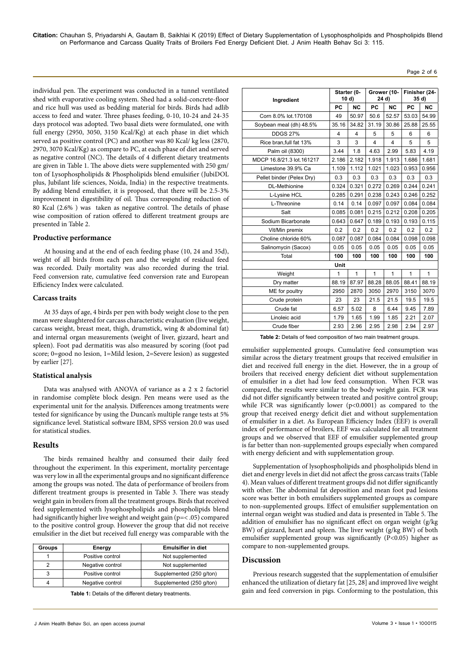**Citation:** Chauhan S, Priyadarshi A, Gautam B, Saikhlai K (2019) Effect of Dietary Supplementation of Lysophospholipids and Phospholipids Blend on Performance and Carcass Quality Traits of Broilers Fed Energy Deficient Diet. J Anim Health Behav Sci 3: 115.

individual pen. The experiment was conducted in a tunnel ventilated shed with evaporative cooling system. Shed had a solid-concrete-floor and rice hull was used as bedding material for birds. Birds had adlib access to feed and water. Three phases feeding, 0-10, 10-24 and 24-35 days protocol was adopted. Two basal diets were formulated, one with full energy (2950, 3050, 3150 Kcal/Kg) at each phase in diet which served as positive control (PC) and another was 80 Kcal/ kg less (2870, 2970, 3070 Kcal/Kg) as compare to PC, at each phase of diet and served as negative control (NC). The details of 4 different dietary treatments are given in Table 1. The above diets were supplemented with 250 gm/ ton of Lysophospholipids & Phospholipids blend emulsifier (JubiDOL plus, Jubilant life sciences, Noida, India) in the respective treatments. By adding blend emulsifier, it is proposed, that there will be 2.5-3% improvement in digestibility of oil. Thus corresponding reduction of 80 Kcal (2.6% ) was taken as negative control. The details of phase wise composition of ration offered to different treatment groups are presented in Table 2.

#### **Productive performance**

At housing and at the end of each feeding phase (10, 24 and 35d), weight of all birds from each pen and the weight of residual feed was recorded. Daily mortality was also recorded during the trial. Feed conversion rate, cumulative feed conversion rate and European Efficiency Index were calculated.

# **Carcass traits**

At 35 days of age, 4 birds per pen with body weight close to the pen mean were slaughtered for carcass characteristic evaluation (live weight, carcass weight, breast meat, thigh, drumstick, wing & abdominal fat) and internal organ measurements (weight of liver, gizzard, heart and spleen). Foot pad dermatitis was also measured by scoring (foot pad score; 0=good no lesion, 1=Mild lesion, 2=Severe lesion) as suggested by earlier [27].

#### **Statistical analysis**

Data was analysed with ANOVA of variance as a 2 x 2 factoriel in randomise complète block design. Pen means were used as the experimental unit for the analysis. Differences among treatments were tested for significance by using the Duncan's multiple range tests at 5% significance level. Statistical software IBM, SPSS version 20.0 was used for statistical studies.

#### **Results**

The birds remained healthy and consumed their daily feed throughout the experiment. In this experiment, mortality percentage was very low in all the experimental groups and no significant difference among the groups was noted. The data of performance of broilers from different treatment groups is presented in Table 3. There was steady weight gain in broilers from all the treatment groups. Birds that received feed supplemented with lysophospholipids and phospholipids blend had significantly higher live weight and weight gain (p=< .05) compared to the positive control group. However the group that did not receive emulsifier in the diet but received full energy was comparable with the

| <b>Groups</b> | Energy           | <b>Emulsifier in diet</b> |
|---------------|------------------|---------------------------|
|               | Positive control | Not supplemented          |
|               | Negative control | Not supplemented          |
|               | Positive control | Supplemented (250 g/ton)  |
|               | Negative control | Supplemented (250 g/ton)  |

**Table 1:** Details of the different dietary treatments.

| Ingredient                |       | Starter (0-<br>10 d) |       | Grower (10-<br>24 d)    |              | Finisher (24-<br>35 d) |  |
|---------------------------|-------|----------------------|-------|-------------------------|--------------|------------------------|--|
|                           | PC    | <b>NC</b>            | PC    | <b>NC</b>               | PC           | <b>NC</b>              |  |
| Corn 8.0% lot.170108      | 49    | 50.97                | 50.6  | 52.57                   | 53.03        | 54.99                  |  |
| Soybean meal (dh) 48.5%   | 35.16 | 34.82                | 31.19 | 30.86                   | 25.88        | 25.55                  |  |
| <b>DDGS 27%</b>           | 4     | 4                    | 5     | 5                       | 6            | 6                      |  |
| Rice bran.full fat 13%    | 3     | 3                    | 4     | $\overline{\mathbf{4}}$ | 5            | 5                      |  |
| Palm oil (8300)           | 3.44  | 1.8                  | 4.63  | 2.99                    | 5.83         | 4.19                   |  |
| MDCP 16.8/21.3 lot.161217 | 2.186 | 2.182                | 1.918 | 1.913                   | 1.686        | 1.681                  |  |
| Limestone 39.9% Ca        | 1.109 | 1.112                | 1.021 | 1.023                   | 0.953        | 0.956                  |  |
| Pellet binder (Pelex Dry) | 0.3   | 0.3                  | 0.3   | 0.3                     | 0.3          | 0.3                    |  |
| <b>DL-Methionine</b>      | 0.324 | 0.321                | 0.272 | 0.269                   | 0.244        | 0.241                  |  |
| L-Lysine HCL              | 0.285 | 0.291                | 0.238 | 0.243                   | 0.246        | 0.252                  |  |
| L-Threonine               | 0.14  | 0.14                 | 0.097 | 0.097                   | 0.084        | 0.084                  |  |
| Salt                      | 0.085 | 0.081                | 0.215 | 0.212                   | 0.208        | 0.205                  |  |
| Sodium Bicarbonate        | 0.643 | 0.647                | 0.189 | 0.193                   | 0.193        | 0.115                  |  |
| Vit/Min premix            | 0.2   | 0.2                  | 0.2   | 0.2                     | 0.2          | 0.2                    |  |
| Choline chloride 60%      | 0.087 | 0.087                | 0.084 | 0.084                   | 0.098        | 0.098                  |  |
| Salinomycin (Sacox)       | 0.05  | 0.05                 | 0.05  | 0.05                    | 0.05         | 0.05                   |  |
| Total                     | 100   | 100                  | 100   | 100                     | 100          | 100                    |  |
|                           | Unit  |                      |       |                         |              |                        |  |
| Weight                    | 1     | 1                    | 1     | $\mathbf{1}$            | $\mathbf{1}$ | 1                      |  |
| Dry matter                | 88.19 | 87.97                | 88.28 | 88.05                   | 88.41        | 88.19                  |  |
| ME for poultry            | 2950  | 2870                 | 3050  | 2970                    | 3150         | 3070                   |  |
| Crude protein             | 23    | 23                   | 21.5  | 21.5                    | 19.5         | 19.5                   |  |
| Crude fat                 | 6.57  | 5.02                 | 8     | 6.44                    | 9.45         | 7.89                   |  |
| Linoleic acid             | 1.79  | 1.65                 | 1.99  | 1.85                    | 2.21         | 2.07                   |  |
| Crude fiber               | 2.93  | 2.96                 | 2.95  | 2.98                    | 2.94         | 2.97                   |  |

**Table 2:** Details of feed composition of two main treatment groups.

emulsifier supplemented groups. Cumulative feed consumption was similar across the dietary treatment groups that received emulsifier in diet and received full energy in the diet. However, the in a group of broilers that received energy deficient diet without supplementation of emulsifier in a diet had low feed consumption. When FCR was compared, the results were similar to the body weight gain. FCR was did not differ significantly between treated and positive control group; while FCR was significantly lower (p<0.0001) as compared to the group that received energy deficit diet and without supplementation of emulsifier in a diet. As European Efficiency Index (EEF) is overall index of performance of broilers, EEF was calculated for all treatment groups and we observed that EEF of emulsifier supplemented group is far better than non-supplemented groups especially when compared with energy deficient and with supplementation group.

Supplementation of lysophospholipids and phospholipids blend in diet and energy levels in diet did not affect the gross carcass traits (Table 4). Mean values of different treatment groups did not differ significantly with other. The abdominal fat deposition and mean foot pad lesions score was better in both emulsifiers supplemented groups as compare to non-supplemented groups. Effect of emulsifier supplementation on internal organ weight was studied and data is presented in Table 5. The addition of emulsifier has no significant effect on organ weight (g/kg BW) of gizzard, heart and spleen. The liver weight (g/kg BW) of both emulsifier supplemented group was significantly (P<0.05) higher as compare to non-supplemented groups.

#### **Discussion**

Previous research suggested that the supplementation of emulsifier enhanced the utilization of dietary fat [25, 28] and improved live weight gain and feed conversion in pigs. Conforming to the postulation, this

Page 2 of 6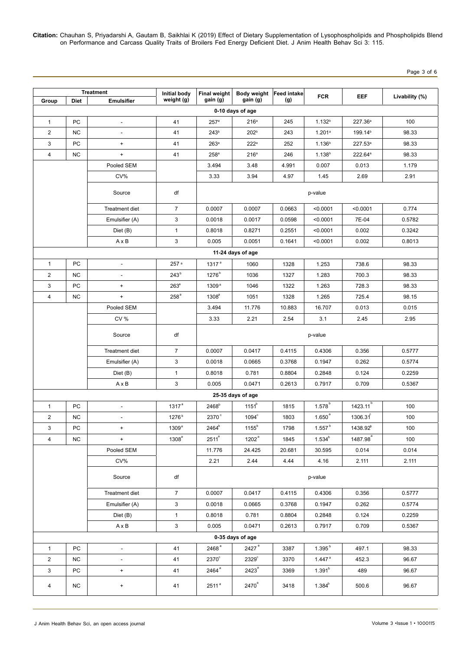**Citation:** Chauhan S, Priyadarshi A, Gautam B, Saikhlai K (2019) Effect of Dietary Supplementation of Lysophospholipids and Phospholipids Blend on Performance and Carcass Quality Traits of Broilers Fed Energy Deficient Diet. J Anim Health Behav Sci 3: 115.

Page 3 of 6

| <b>Treatment</b> |             | <b>Initial body</b>      | Final weight      | Body weight Feed intake |                   | <b>FCR</b> | <b>EEF</b>           | Livability (%)       |        |  |  |
|------------------|-------------|--------------------------|-------------------|-------------------------|-------------------|------------|----------------------|----------------------|--------|--|--|
| Group            | <b>Diet</b> | <b>Emulsifier</b>        | weight (g)        | gain (g)                | gain (g)          | (g)        |                      |                      |        |  |  |
| 0-10 days of age |             |                          |                   |                         |                   |            |                      |                      |        |  |  |
| $\mathbf{1}$     | PC          | $\overline{a}$           | 41                | 257 <sup>a</sup>        | 216 <sup>a</sup>  | 245        | 1.132 <sup>b</sup>   | 227.36 <sup>a</sup>  | 100    |  |  |
| $\overline{2}$   | NC.         | $\overline{\phantom{a}}$ | 41                | 243 <sup>b</sup>        | 202 <sup>b</sup>  | 243        | 1.201a               | 199.14 <sup>b</sup>  | 98.33  |  |  |
| 3                | PC          | $\ddot{}$                | 41                | 263a                    | 222a              | 252        | 1.136 <sup>b</sup>   | 227.53 <sup>a</sup>  | 98.33  |  |  |
| 4                | NC          | $+$                      | 41                | 258 <sup>a</sup>        | 216 <sup>a</sup>  | 246        | 1.138 <sup>b</sup>   | 222.64 <sup>a</sup>  | 98.33  |  |  |
|                  |             | Pooled SEM               |                   | 3.494                   | 3.48              | 4.991      | 0.007                | 0.013                | 1.179  |  |  |
|                  |             | CV%                      |                   | 3.33                    | 3.94              | 4.97       | 1.45                 | 2.69                 | 2.91   |  |  |
|                  |             | Source                   | df                |                         |                   |            | p-value              |                      |        |  |  |
|                  |             | Treatment diet           | $\overline{7}$    | 0.0007                  | 0.0007            | 0.0663     | < 0.0001             | < 0.0001             | 0.774  |  |  |
|                  |             | Emulsifier (A)           | 3                 | 0.0018                  | 0.0017            | 0.0598     | < 0.0001             | 7E-04                | 0.5782 |  |  |
|                  |             | Diet (B)                 | $\mathbf{1}$      | 0.8018                  | 0.8271            | 0.2551     | < 0.0001             | 0.002                | 0.3242 |  |  |
|                  |             | $A \times B$             | 3                 | 0.005                   | 0.0051            | 0.1641     | < 0.0001             | 0.002                | 0.8013 |  |  |
|                  |             |                          |                   |                         | 11-24 days of age |            |                      |                      |        |  |  |
| $\mathbf{1}$     | PC          | $\blacksquare$           | 257 <sup>a</sup>  | 1317 <sup>a</sup>       | 1060              | 1328       | 1.253                | 738.6                | 98.33  |  |  |
| $\overline{2}$   | <b>NC</b>   | $\overline{a}$           | 243 <sup>b</sup>  | 1276 <sup>b</sup>       | 1036              | 1327       | 1.283                | 700.3                | 98.33  |  |  |
| 3                | PC          | $\ddot{}$                | $263^{\circ}$     | 1309 <sup>a</sup>       | 1046              | 1322       | 1.263                | 728.3                | 98.33  |  |  |
| $\overline{4}$   | NC.         | $\ddot{}$                | 258 <sup>a</sup>  | 1308 <sup>a</sup>       | 1051              | 1328       | 1.265                | 725.4                | 98.15  |  |  |
|                  |             | Pooled SEM               |                   | 3.494                   | 11.776            | 10.883     | 16.707               | 0.013                | 0.015  |  |  |
|                  |             | <b>CV %</b>              |                   | 3.33                    | 2.21              | 2.54       | 3.1                  | 2.45                 | 2.95   |  |  |
|                  |             | Source                   | df                | p-value                 |                   |            |                      |                      |        |  |  |
|                  |             | Treatment diet           | $\overline{7}$    | 0.0007                  | 0.0417            | 0.4115     | 0.4306               | 0.356                | 0.5777 |  |  |
|                  |             | Emulsifier (A)           | 3                 | 0.0018                  | 0.0665            | 0.3768     | 0.1947               | 0.262                | 0.5774 |  |  |
|                  |             | Diet (B)                 | $\mathbf{1}$      | 0.8018                  | 0.781             | 0.8804     | 0.2848               | 0.124                | 0.2259 |  |  |
|                  |             | $A \times B$             | 3                 | 0.005                   | 0.0471            | 0.2613     | 0.7917               | 0.709                | 0.5367 |  |  |
|                  |             |                          |                   |                         | 25-35 days of age |            |                      |                      |        |  |  |
| $\mathbf{1}$     | PC          | $\blacksquare$           | 1317 <sup>a</sup> | 2468 <sup>b</sup>       | $1151^b$          | 1815       | $1.578^b$            | $1423.11^{b}$        | 100    |  |  |
| $\overline{2}$   | <b>NC</b>   |                          | 1276 <sup>b</sup> | 2370 <sup>c</sup>       | $1094^\circ$      | 1803       | 1.650 <sup>a</sup>   | 1306.31              | 100    |  |  |
| 3                | PC          | $\ddot{}$                | 1309 <sup>a</sup> | 2464 <sup>b</sup>       | $1155^b$          | 1798       | $1.557$ <sup>b</sup> | 1438.92 <sup>b</sup> | 100    |  |  |
| 4                | NC          | $+$                      | 1308 <sup>a</sup> | $2511^a$                | 1202 <sup>a</sup> | 1845       | $1.534^{b}$          | 1487.98 <sup>ª</sup> | 100    |  |  |
|                  |             | Pooled SEM               |                   | 11.776                  | 24.425            | 20.681     | 30.595               | 0.014                | 0.014  |  |  |
|                  |             | CV%                      |                   | 2.21                    | 2.44              | 4.44       | 4.16                 | 2.111                | 2.111  |  |  |
|                  |             | Source                   | df                |                         |                   |            | p-value              |                      |        |  |  |
|                  |             | Treatment diet           | $\overline{7}$    | 0.0007                  | 0.0417            | 0.4115     | 0.4306               | 0.356                | 0.5777 |  |  |
|                  |             | Emulsifier (A)           | 3                 | 0.0018                  | 0.0665            | 0.3768     | 0.1947               | 0.262                | 0.5774 |  |  |
|                  |             | Diet (B)                 | $\mathbf{1}$      | 0.8018                  | 0.781             | 0.8804     | 0.2848               | 0.124                | 0.2259 |  |  |
|                  |             | $A \times B$             | $\mathbf{3}$      | 0.005                   | 0.0471            | 0.2613     | 0.7917               | 0.709                | 0.5367 |  |  |
|                  |             |                          |                   |                         | 0-35 days of age  |            |                      |                      |        |  |  |
| $\mathbf{1}$     | PC          | L.                       | 41                | $2468^{\,\rm a}$        | 2427 $^{\circ}$   | 3387       | 1.395 <sup>b</sup>   | 497.1                | 98.33  |  |  |
| $\overline{2}$   | ΝC          | $\overline{\phantom{a}}$ | 41                | $2370^\circ$            | $2329^\circ$      | 3370       | $1.447$ <sup>a</sup> | 452.3                | 96.67  |  |  |
| 3                | PC          | $+$                      | 41                | 2464 <sup>ª</sup>       | 2423 <sup>a</sup> | 3369       | $1.391^{b}$          | 489                  | 96.67  |  |  |
| 4                | NC.         | $\ddot{}$                | 41                | 2511 <sup>a</sup>       | $2470^a$          | 3418       | $1.384^{b}$          | 500.6                | 96.67  |  |  |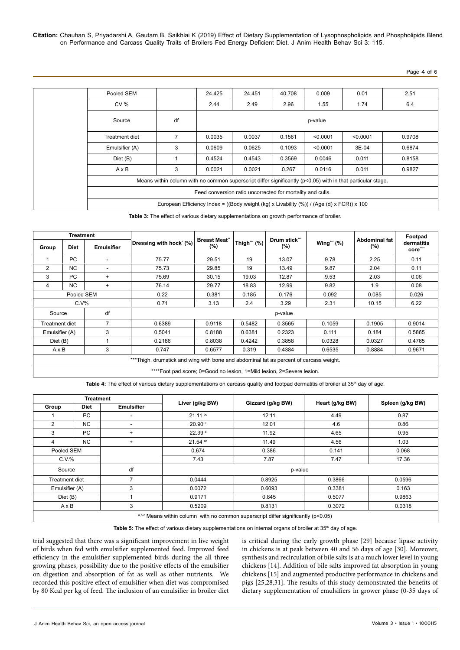**Citation:** Chauhan S, Priyadarshi A, Gautam B, Saikhlai K (2019) Effect of Dietary Supplementation of Lysophospholipids and Phospholipids Blend on Performance and Carcass Quality Traits of Broilers Fed Energy Deficient Diet. J Anim Health Behav Sci 3: 115.

Page 4 of 6

| Pooled SEM     |                                                                                                             | 24.425 | 24.451 | 40.708 | 0.009    | 0.01     | 2.51   |
|----------------|-------------------------------------------------------------------------------------------------------------|--------|--------|--------|----------|----------|--------|
| <b>CV %</b>    |                                                                                                             | 2.44   | 2.49   | 2.96   | 1.55     | 1.74     | 6.4    |
| Source         | df                                                                                                          |        |        |        | p-value  |          |        |
| Treatment diet | $\overline{7}$                                                                                              | 0.0035 | 0.0037 | 0.1561 | < 0.0001 | < 0.0001 | 0.9708 |
| Emulsifier (A) | 3                                                                                                           | 0.0609 | 0.0625 | 0.1093 | < 0.0001 | 3E-04    | 0.6874 |
| Diet (B)       |                                                                                                             | 0.4524 | 0.4543 | 0.3569 | 0.0046   | 0.011    | 0.8158 |
| $A \times B$   | 3                                                                                                           | 0.0021 | 0.0021 | 0.267  | 0.0116   | 0.011    | 0.9827 |
|                | Means within column with no common superscript differ significantly (p<0.05) with in that particular stage. |        |        |        |          |          |        |
|                | Feed conversion ratio uncorrected for mortality and culls.                                                  |        |        |        |          |          |        |
|                | European Efficiency Index = ((Body weight (kg) x Livability (%)) / (Age (d) x FCR)) x 100                   |        |        |        |          |          |        |

**Table 3:** The effect of various dietary supplementations on growth performance of broiler.

| Treatment                                                                              |             |                   |                         |                            |             |                          |               | Footpad                        |                      |
|----------------------------------------------------------------------------------------|-------------|-------------------|-------------------------|----------------------------|-------------|--------------------------|---------------|--------------------------------|----------------------|
| Group                                                                                  | <b>Diet</b> | <b>Emulsifier</b> | Dressing with hock' (%) | <b>Breast Meat"</b><br>(%) | Thigh"" (%) | Drum stick***<br>$(\% )$ | Wing"" $(\%)$ | <b>Abdominal fat</b><br>$(\%)$ | dermatitis<br>core"" |
|                                                                                        | PC          |                   | 75.77                   | 29.51                      | 19          | 13.07                    | 9.78          | 2.25                           | 0.11                 |
| 2                                                                                      | NC.         |                   | 75.73                   | 29.85                      | 19          | 13.49                    | 9.87          | 2.04                           | 0.11                 |
| 3                                                                                      | PC          | $+$               | 75.69                   | 30.15                      | 19.03       | 12.87                    | 9.53          | 2.03                           | 0.06                 |
| 4                                                                                      | <b>NC</b>   | $+$               | 76.14                   | 29.77                      | 18.83       | 12.99                    | 9.82          | 1.9                            | 0.08                 |
| Pooled SEM                                                                             |             | 0.22              | 0.381                   | 0.185                      | 0.176       | 0.092                    | 0.085         | 0.026                          |                      |
| $C.V\%$                                                                                |             | 0.71              | 3.13                    | 2.4                        | 3.29        | 2.31                     | 10.15         | 6.22                           |                      |
| df<br>Source                                                                           |             |                   | p-value                 |                            |             |                          |               |                                |                      |
| $\overline{7}$<br>Treatment diet                                                       |             |                   | 0.6389                  | 0.9118                     | 0.5482      | 0.3565                   | 0.1059        | 0.1905                         | 0.9014               |
| Emulsifier (A)                                                                         |             | 3                 | 0.5041                  | 0.8188                     | 0.6381      | 0.2323                   | 0.111         | 0.184                          | 0.5865               |
| Diet (B)                                                                               |             |                   | 0.2186                  | 0.8038                     | 0.4242      | 0.3858                   | 0.0328        | 0.0327                         | 0.4765               |
| AxB                                                                                    |             | 3                 | 0.747                   | 0.6577                     | 0.319       | 0.4384                   | 0.6535        | 0.8884                         | 0.9671               |
| ***Thigh, drumstick and wing with bone and abdominal fat as percent of carcass weight. |             |                   |                         |                            |             |                          |               |                                |                      |
| ****Foot pad score; 0=Good no lesion, 1=Mild lesion, 2=Severe lesion.                  |             |                   |                         |                            |             |                          |               |                                |                      |

Table 4: The effect of various dietary supplementations on carcass quality and footpad dermatitis of broiler at 35<sup>th</sup> day of age.

| <b>Treatment</b>                                                                   |                                                   |                   |                       |                   |                 |                  |  |  |
|------------------------------------------------------------------------------------|---------------------------------------------------|-------------------|-----------------------|-------------------|-----------------|------------------|--|--|
| Group                                                                              | <b>Diet</b>                                       | <b>Emulsifier</b> | Liver (g/kg BW)       | Gizzard (g/kg BW) | Heart (g/kg BW) | Spleen (g/kg BW) |  |  |
|                                                                                    | PC                                                | ٠                 | $21.11^{bc}$          | 12.11             | 4.49            | 0.87             |  |  |
| 2                                                                                  | NC                                                | ٠                 | 20.90                 | 12.01             | 4.6             | 0.86             |  |  |
| 3                                                                                  | <b>PC</b>                                         | $\ddot{}$         | 22.39 <sup>a</sup>    | 11.92             | 4.65            | 0.95             |  |  |
| 4                                                                                  | NC.                                               | $\ddot{}$         | $21.54$ <sup>ab</sup> | 11.49             | 4.56            | 1.03             |  |  |
| Pooled SEM                                                                         |                                                   |                   | 0.674                 | 0.386             | 0.141           | 0.068            |  |  |
| $C.V.$ %                                                                           |                                                   |                   | 7.43                  | 7.87              | 7.47            | 17.36            |  |  |
| df<br>Source<br>p-value                                                            |                                                   |                   |                       |                   |                 |                  |  |  |
|                                                                                    | 7<br>Treatment diet<br>0.0444<br>0.8925<br>0.3866 |                   | 0.0596                |                   |                 |                  |  |  |
|                                                                                    | 3<br>Emulsifier (A)                               |                   | 0.0072                | 0.6093            | 0.3381          | 0.163            |  |  |
| Diet (B)                                                                           |                                                   |                   |                       | 0.9171<br>0.845   |                 | 0.9863           |  |  |
| AxB                                                                                |                                                   | 3                 | 0.5209                | 0.8131            | 0.3072          | 0.0318           |  |  |
| a,b,c Means within column with no common superscript differ significantly (p<0.05) |                                                   |                   |                       |                   |                 |                  |  |  |

Table 5: The effect of various dietary supplementations on internal organs of broiler at 35<sup>th</sup> day of age.

trial suggested that there was a significant improvement in live weight of birds when fed with emulsifier supplemented feed. Improved feed efficiency in the emulsifier supplemented birds during the all three growing phases, possibility due to the positive effects of the emulsifier on digestion and absorption of fat as well as other nutrients. We recorded this positive effect of emulsifier when diet was compromised by 80 Kcal per kg of feed. The inclusion of an emulsifier in broiler diet is critical during the early growth phase [29] because lipase activity in chickens is at peak between 40 and 56 days of age [30]. Moreover, synthesis and recirculation of bile salts is at a much lower level in young chickens [14]. Addition of bile salts improved fat absorption in young chickens [15] and augmented productive performance in chickens and pigs [25,28,31]. The results of this study demonstrated the benefits of dietary supplementation of emulsifiers in grower phase (0-35 days of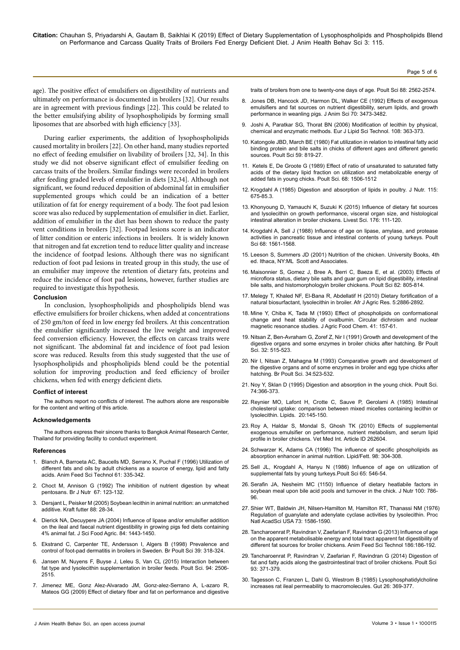age). The positive effect of emulsifiers on digestibility of nutrients and ultimately on performance is documented in broilers [32]. Our results are in agreement with previous findings [22]. This could be related to the better emulsifying ability of lysophospholipids by forming small liposomes that are absorbed with high efficiency [33].

During earlier experiments, the addition of lysophospholipids caused mortality in broilers [22]. On other hand, many studies reported no effect of feeding emulsifier on livability of broilers [32, 34]. In this study we did not observe significant effect of emulsifier feeding on carcass traits of the broilers. Similar findings were recorded in broilers after feeding graded levels of emulsifier in diets [32,34]. Although not significant, we found reduced deposition of abdominal fat in emulsifier supplemented groups which could be an indication of a better utilization of fat for energy requirement of a body. The foot pad lesion score was also reduced by supplementation of emulsifier in diet. Earlier, addition of emulsifier in the diet has been shown to reduce the pasty vent conditions in broilers [32]. Footpad lesions score is an indicator of litter condition or enteric infections in broilers. It is widely known that nitrogen and fat excretion tend to reduce litter quality and increase the incidence of footpad lesions. Although there was no significant reduction of foot pad lesions in treated group in this study, the use of an emulsifier may improve the retention of dietary fats, proteins and reduce the incidence of foot pad lesions, however, further studies are required to investigate this hypothesis.

#### **Conclusion**

In conclusion, lysophospholipids and phospholipids blend was effective emulsifiers for broiler chickens, when added at concentrations of 250 gm/ton of feed in low energy fed broilers. At this concentration the emulsifier significantly increased the live weight and improved feed conversion efficiency. However, the effects on carcass traits were not significant. The abdominal fat and incidence of foot pad lesion score was reduced. Results from this study suggested that the use of lysophospholipids and phospholipids blend could be the potential solution for improving production and feed efficiency of broiler chickens, when fed with energy deficient diets.

#### **Conflict of interest**

The authors report no conflicts of interest. The authors alone are responsible for the content and writing of this article.

#### **Acknowledgements**

The authors express their sincere thanks to Bangkok Animal Research Center, Thailand for providing facility to conduct experiment.

#### **References**

- 1. [Blanch A, Barroeta AC, Baucells MD, Serrano X, Puchal F \(1996\) Utilization of](https://www.sciencedirect.com/science/article/pii/0377840195009310) [different fats and oils by adult chickens as a source of energy, lipid and fatty](https://www.sciencedirect.com/science/article/pii/0377840195009310) [acids. Anim Feed Sci Technol 61: 335-342](https://www.sciencedirect.com/science/article/pii/0377840195009310).
- 2. [Choct M, Annison G \(1992\) The inhibition of nutrient digestion by wheat](https://www.ncbi.nlm.nih.gov/pubmed/1547198) [pentosans. Br J Nutr 67: 123-132.](https://www.ncbi.nlm.nih.gov/pubmed/1547198)
- 3. Dersjant L, Peisker M (2005) Soybean lecithin in animal nutrition: an unmatched additive. Kraft futter 88: 28-34.
- 4. [Dierick NA, Decuypere JA \(2004\) Influence of lipase and/or emulsifier addition](https://doi.org/10.1002/jsfa.1794) [on the ileal and faecal nutrient digestibility in growing pigs fed diets containing](https://doi.org/10.1002/jsfa.1794) [4% animal fat. J Sci Food Agric. 84: 1443-1450.](https://doi.org/10.1002/jsfa.1794)
- 5. [Ekstrand C, Carpenter TE, Andersson I, Algers B \(1998\) Prevalence and](https://doi.org/10.1080/00071669888845) [control of foot-pad dermatitis in broilers in Sweden. Br Poult Sci 39: 318-324.](https://doi.org/10.1080/00071669888845)
- 6. [Jansen M, Nuyens F, Buyse J, Leleu S, Van CL \(2015\) Interaction between](https://doi.org/10.3382/ps/pev181) [fat type and lysolecithin supplementation in broiler feeds. Poult Sci. 94: 2506-](https://doi.org/10.3382/ps/pev181) [2515.](https://doi.org/10.3382/ps/pev181)
- 7. [Jimenez ME, Gonz Alez-Alvarado JM, Gonz-alez-Serrano A, L-azaro R,](https://doi.org/10.3382/ps.2009-00179) [Mateos GG \(2009\) Effect of dietary fiber and fat on performance and digestive](https://doi.org/10.3382/ps.2009-00179)

[traits of broilers from one to twenty-one days of age. Poult Sci 88: 2562-2574.](https://doi.org/10.3382/ps.2009-00179)

Page 5 of 6

- 8. [Jones DB, Hancock JD, Harmon DL, Walker CE \(1992\) Effects of exogenous](https://www.ncbi.nlm.nih.gov/pubmed/1459909)  [emulsifiers and fat sources on nutrient digestibility, serum lipids, and growth](https://www.ncbi.nlm.nih.gov/pubmed/1459909)  [performance in weanling pigs. J Anim Sci 70: 3473-3482.](https://www.ncbi.nlm.nih.gov/pubmed/1459909)
- 9. [Joshi A, Paratkar SG, Thorat BN \(2006\) Modification of lecithin by physical,](https://doi.org/10.1002/ejlt.200600016)  [chemical and enzymatic methods. Eur J Lipid Sci Technol. 108: 363-373.](https://doi.org/10.1002/ejlt.200600016)
- 10. [Katongole JBD, March BE \(1980\) Fat utilization in relation to intestinal fatty acid](https://doi.org/10.3382/ps.0590819)  [binding protein and bile salts in chicks of different ages and different genetic](https://doi.org/10.3382/ps.0590819)  [sources. Poult Sci 59: 819-27.](https://doi.org/10.3382/ps.0590819)
- 11. [Ketels E, De Groote G \(1989\) Effect of ratio of unsaturated to saturated fatty](https://doi.org/10.3382/ps.0681506)  [acids of the dietary lipid fraction on utilization and metabolizable energy of](https://doi.org/10.3382/ps.0681506)  [added fats in young chicks. Poult Sci. 68: 1506-1512](https://doi.org/10.3382/ps.0681506)
- 12. [Krogdahl A \(1985\) Digestion and absorption of lipids in poultry. J Nutr. 115:](https://doi.org/10.1093/jn/115.5.675)  [675-85.3.](https://doi.org/10.1093/jn/115.5.675)
- 13. [Khonyoung D, Yamauchi K, Suzuki K \(2015\) Influence of dietary fat sources](https://www.journals.elsevierhealth.com/article/S1871-1413(15)00139-0/abstract)  [and lysolecithin on growth performance, visceral organ size, and histological](https://www.journals.elsevierhealth.com/article/S1871-1413(15)00139-0/abstract)  [intestinal alteration in broiler chickens. Livest Sci. 176: 111-120.](https://www.journals.elsevierhealth.com/article/S1871-1413(15)00139-0/abstract)
- 14. [Krogdahl A, Sell J \(1988\) Influence of age on lipase, amylase, and protease](https://doi.org/10.3382/ps.0681561)  [activities in pancreatic tissue and intestinal contents of young turkeys. Poult](https://doi.org/10.3382/ps.0681561)  [Sci 68: 1561-1568.](https://doi.org/10.3382/ps.0681561)
- 15. Leeson S, Summers JD (2001) Nutrition of the chicken. University Books, 4th ed. Ithaca, NY:ML Scott and Associates.
- 16. [Maisonnier S, Gomez J, Bree A, Berri C, Baeza E, et al. \(2003\) Effects o](https://doi.org/10.1093/ps/82.5.805)f [microflora status, dietary bile salts and guar gum on lipid digestibility, intestinal](https://doi.org/10.1093/ps/82.5.805)  [bile salts, and histomorphologyin broiler chickens. Poult Sci 82: 805-814.](https://doi.org/10.1093/ps/82.5.805)
- 17. [Melegy T, Khaled NF, El-Bana R, Abdellatif H \(2010\) Dietary fortification of a](https://academicjournals.org/article/article1380872607_Melegy%2520et%2520al.pdf)  [natural biosurfactant, lysolecithin in broiler. Afr J Agric Res. 5:2886-2892.](https://academicjournals.org/article/article1380872607_Melegy%2520et%2520al.pdf)
- 18. [Mine Y, Chiba K, Tada M \(1993\) Effect of phospholipids on conformational](https://pubs.acs.org/doi/abs/10.1021/jf00026a002)  [change and heat stability of ovalbumin. Circular dichroism and nuclear](https://pubs.acs.org/doi/abs/10.1021/jf00026a002)  [magnetic resonance studies. J Agric Food Chem. 41: 157-61.](https://pubs.acs.org/doi/abs/10.1021/jf00026a002)
- 19. [Nitsan Z, Ben-Avraham G, Zoref Z, Nir I \(1991\) Growth and development of the](https://doi.org/10.1080/00071669108417376)  [digestive organs and some enzymes in broiler chicks after hatching. Br Poult](https://doi.org/10.1080/00071669108417376)  [Sci. 32: 515-523.](https://doi.org/10.1080/00071669108417376)
- 20. [Nir I, Nitsan Z, Mahagna M \(1993\) Comparative growth and development of](https://doi.org/10.1080/00071669308417607)  [the digestive organs and of some enzymes in broiler and egg type chicks after](https://doi.org/10.1080/00071669308417607)  [hatching. Br Poult Sci. 34:523-532.](https://doi.org/10.1080/00071669308417607)
- 21. [Noy Y, Sklan D \(1995\) Digestion and absorption in the young chick. Poult Sci.](https://doi.org/10.3382/ps.0740366)  [74:366-373.](https://doi.org/10.3382/ps.0740366)
- 22. [Reynier MO, Lafont H, Crotte C, Sauve P, Gerolami A \(1985\) Intestinal](https://www.ncbi.nlm.nih.gov/pubmed/3990523)  [cholesterol uptake: comparison between mixed micelles containing lecithin or](https://www.ncbi.nlm.nih.gov/pubmed/3990523)  [lysolecithin. Lipids. 20:145-150.](https://www.ncbi.nlm.nih.gov/pubmed/3990523)
- 23. [Roy A, Haldar S, Mondal S, Ghosh TK \(2010\) Effects of supplemental](https://doi.org/10.4061/2010/262604)  [exogenous emulsifier on performance, nutrient metabolism, and serum lipid](https://doi.org/10.4061/2010/262604)  [profile in broiler chickens. Vet Med Int. Article ID 262604](https://doi.org/10.4061/2010/262604).
- 24. [Schwarzer K, Adams CA \(1996\) The influence of specific phospholipids as](https://doi.org/10.1002/lipi.19960980905)  [absorption enhancer in animal nutrition. Lipid/Fett. 98: 304-308](https://doi.org/10.1002/lipi.19960980905).
- 25. [Sell JL, Krogdahl A, Hanyu N \(1986\) Influence of age on utilization of](https://doi.org/10.3382/ps.0650546)  [supplemental fats by young turkeys.Poult Sci 65: 546-54.](https://doi.org/10.3382/ps.0650546)
- 26. [Serafin JA, Nesheim MC \(1150\) Influence of dietary heatlabile factors in](https://doi.org/10.1093/jn/100.7.786)  [soybean meal upon bile acid pools and turnover in the chick. J Nutr 100: 786-](https://doi.org/10.1093/jn/100.7.786) [96.](https://doi.org/10.1093/jn/100.7.786)
- 27. [Shier WT, Baldwin JH, Nilsen-Hamilton M, Hamilton RT, Thanassi NM \(1976\)](https://www.ncbi.nlm.nih.gov/pubmed/5726) [Regulation of guanylate and adenylate cyclase activities by lysolecithin. Proc](https://www.ncbi.nlm.nih.gov/pubmed/5726)  [Natl AcadSci USA 73: 1586-1590.](https://www.ncbi.nlm.nih.gov/pubmed/5726)
- 28. [Tancharoenrat P, Ravindran V, Zaefarian F, Ravindran G \(2013\) Influence of age](http://agris.fao.org/agris-search/search.do?recordID=US201400007804)  [on the apparent metabolisable energy and total tract apparent fat digestibility of](http://agris.fao.org/agris-search/search.do?recordID=US201400007804)  [different fat sources for broiler chickens. Anim Feed Sci Technol 186:186-192.](http://agris.fao.org/agris-search/search.do?recordID=US201400007804)
- 29. [Tancharoenrat P, Ravindran V, Zaefarian F, Ravindran G \(2014\) Digestion of](https://doi.org/10.3382/ps.2013-03344)  [fat and fatty acids along the gastrointestinal tract of broiler chickens. Poult Sci](https://doi.org/10.3382/ps.2013-03344)  [93: 371-379.](https://doi.org/10.3382/ps.2013-03344)
- 30. [Tagesson C, Franzen L, Dahl G, Westrom B \(1985\) Lysophosphatidylcholine](https://www.ncbi.nlm.nih.gov/pubmed/2579878)  [increases rat ileal permeability to macromolecules. Gut 26: 369-377.](https://www.ncbi.nlm.nih.gov/pubmed/2579878)